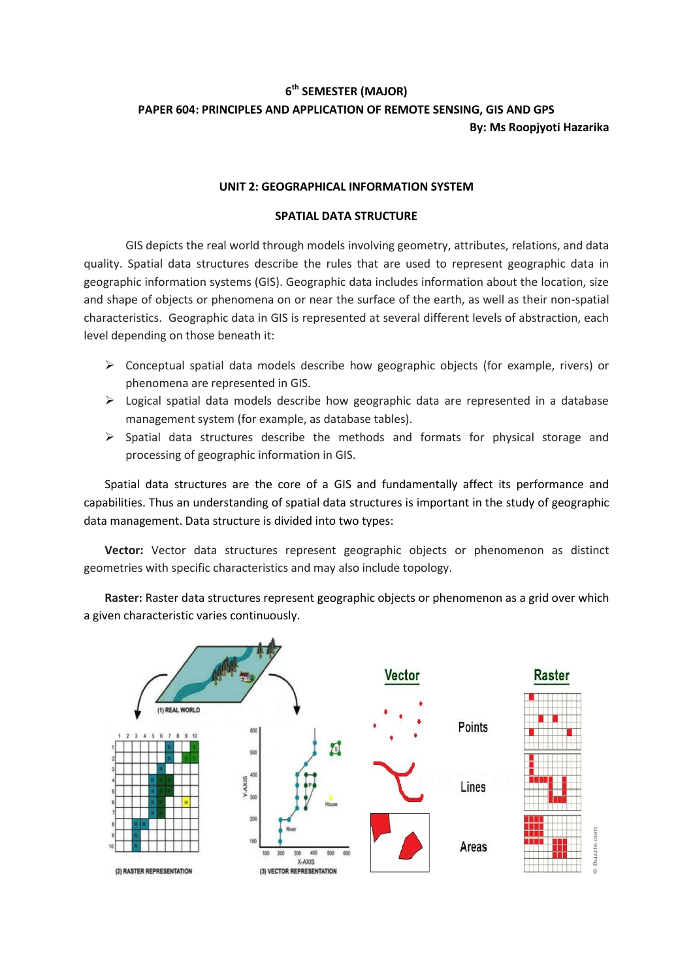## **6 th SEMESTER (MAJOR) PAPER 604: PRINCIPLES AND APPLICATION OF REMOTE SENSING, GIS AND GPS By: Ms Roopjyoti Hazarika**

## **UNIT 2: GEOGRAPHICAL INFORMATION SYSTEM**

## **SPATIAL DATA STRUCTURE**

GIS depicts the real world through models involving geometry, attributes, relations, and data quality. Spatial data structures describe the rules that are used to represent geographic data in geographic information systems (GIS). Geographic data includes information about the location, size and shape of objects or phenomena on or near the surface of the earth, as well as their non-spatial characteristics. Geographic data in GIS is represented at several different levels of abstraction, each level depending on those beneath it:

- $\triangleright$  Conceptual spatial data models describe how geographic objects (for example, rivers) or phenomena are represented in GIS.
- $\triangleright$  Logical spatial data models describe how geographic data are represented in a database management system (for example, as database tables).
- $\triangleright$  Spatial data structures describe the methods and formats for physical storage and processing of geographic information in GIS.

Spatial data structures are the core of a GIS and fundamentally affect its performance and capabilities. Thus an understanding of spatial data structures is important in the study of geographic data management. Data structure is divided into two types:

**Vector:** Vector data structures represent geographic objects or phenomenon as distinct geometries with specific characteristics and may also include topology.

**Raster:** Raster data structures represent geographic objects or phenomenon as a grid over which a given characteristic varies continuously.

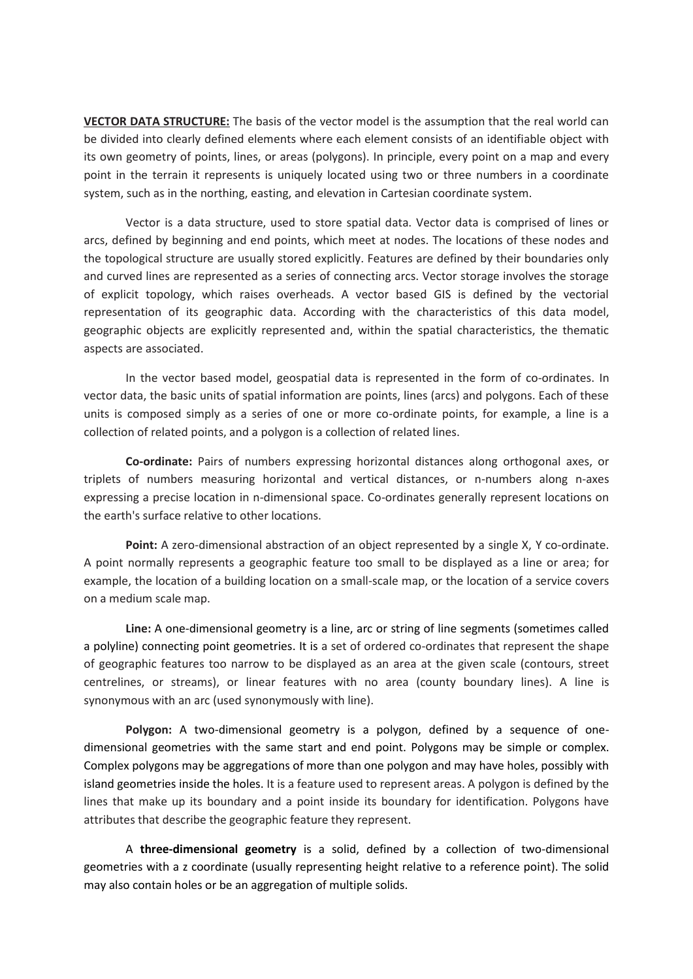**VECTOR DATA STRUCTURE:** The basis of the vector model is the assumption that the real world can be divided into clearly defined elements where each element consists of an identifiable object with its own geometry of points, lines, or areas (polygons). In principle, every point on a map and every point in the terrain it represents is uniquely located using two or three numbers in a coordinate system, such as in the northing, easting, and elevation in Cartesian coordinate system.

Vector is a data structure, used to store spatial data. Vector data is comprised of lines or arcs, defined by beginning and end points, which meet at nodes. The locations of these nodes and the topological structure are usually stored explicitly. Features are defined by their boundaries only and curved lines are represented as a series of connecting arcs. Vector storage involves the storage of explicit topology, which raises overheads. A vector based GIS is defined by the vectorial representation of its geographic data. According with the characteristics of this data model, geographic objects are explicitly represented and, within the spatial characteristics, the thematic aspects are associated.

In the vector based model, geospatial data is represented in the form of co-ordinates. In vector data, the basic units of spatial information are points, lines (arcs) and polygons. Each of these units is composed simply as a series of one or more co-ordinate points, for example, a line is a collection of related points, and a polygon is a collection of related lines.

**Co-ordinate:** Pairs of numbers expressing horizontal distances along orthogonal axes, or triplets of numbers measuring horizontal and vertical distances, or n-numbers along n-axes expressing a precise location in n-dimensional space. Co-ordinates generally represent locations on the earth's surface relative to other locations.

**Point:** A zero-dimensional abstraction of an object represented by a single X, Y co-ordinate. A point normally represents a geographic feature too small to be displayed as a line or area; for example, the location of a building location on a small-scale map, or the location of a service covers on a medium scale map.

**Line:** A one-dimensional geometry is a line, arc or string of line segments (sometimes called a polyline) connecting point geometries. It is a set of ordered co-ordinates that represent the shape of geographic features too narrow to be displayed as an area at the given scale (contours, street centrelines, or streams), or linear features with no area (county boundary lines). A line is synonymous with an arc (used synonymously with line).

**Polygon:** A two-dimensional geometry is a polygon, defined by a sequence of onedimensional geometries with the same start and end point. Polygons may be simple or complex. Complex polygons may be aggregations of more than one polygon and may have holes, possibly with island geometries inside the holes. It is a feature used to represent areas. A polygon is defined by the lines that make up its boundary and a point inside its boundary for identification. Polygons have attributes that describe the geographic feature they represent.

A **three-dimensional geometry** is a solid, defined by a collection of two-dimensional geometries with a z coordinate (usually representing height relative to a reference point). The solid may also contain holes or be an aggregation of multiple solids.